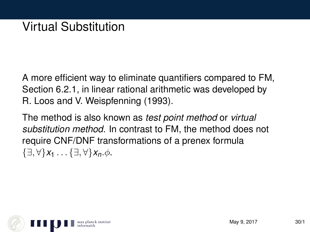A more efficient way to eliminate quantifiers compared to FM, Section 6.2.1, in linear rational arithmetic was developed by R. Loos and V. Weispfenning (1993).

The method is also known as *test point method* or *virtual substitution method*. In contrast to FM, the method does not require CNF/DNF transformations of a prenex formula  $\{\exists, \forall\}x_1 \ldots \{\exists, \forall\}x_n.$  $\phi$ .

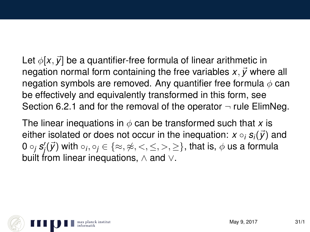Let  $\phi[x, \vec{y}]$  be a quantifier-free formula of linear arithmetic in negation normal form containing the free variables  $x, \vec{y}$  where all negation symbols are removed. Any quantifier free formula  $\phi$  can be effectively and equivalently transformed in this form, see Section 6.2.1 and for the removal of the operator  $\neg$  rule ElimNeg.

The linear inequations in  $\phi$  can be transformed such that x is either isolated or does not occur in the inequation:  $x \circ_i s_i(\vec{y})$  and 0  $\circ_j$   $\pmb{s}'_j(\vec{\pmb{\mathcal{y}}})$  with  $\circ_j,\circ_j\in\{\approx,\not\approx,<,\leq,>,\geq\},$  that is,  $\phi$  us a formula built from linear inequations, ∧ and ∨.

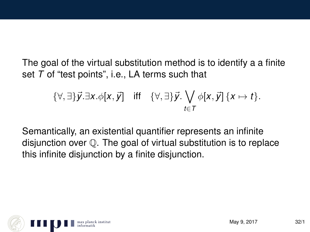The goal of the virtual substitution method is to identify a a finite set *T* of "test points", i.e., LA terms such that

$$
\{\forall,\exists\}\vec{y}.\exists x.\phi[x,\vec{y}] \quad \text{iff} \quad \{\forall,\exists\}\vec{y}.\bigvee_{t\in\mathcal{T}}\phi[x,\vec{y}]\{x\mapsto t\}.
$$

Semantically, an existential quantifier represents an infinite disjunction over Q. The goal of virtual substitution is to replace this infinite disjunction by a finite disjunction.

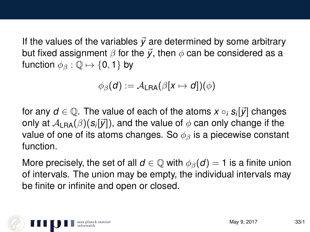If the values of the variables  $\vec{y}$  are determined by some arbitrary but fixed assignment  $\beta$  for the  $\vec{y}$ , then  $\phi$  can be considered as a function  $\phi_{\beta} : \mathbb{Q} \mapsto \{0, 1\}$  by

$$
\phi_{\beta}(d) := \mathcal{A}_{\textsf{LRA}}(\beta[x \mapsto d])(\phi)
$$

for any  $d \in \mathbb{Q}$ . The value of each of the atoms  $x \circ_i s_i[\vec{y}]$  changes only at  $\mathcal{A}_{\mathsf{LRA}}(\beta)(\pmb{\mathit{s}}_i[\vec{\mathit{y}}]),$  and the value of  $\phi$  can only change if the value of one of its atoms changes. So  $\phi_{\beta}$  is a piecewise constant function.

More precisely, the set of all  $d \in \mathbb{Q}$  with  $\phi_{\beta}(d) = 1$  is a finite union of intervals. The union may be empty, the individual intervals may be finite or infinite and open or closed.

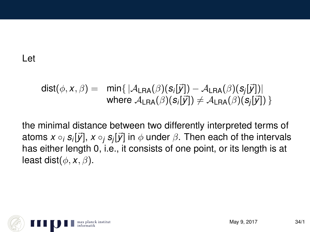## Let

$$
dist(\phi, x, \beta) = \min\{|A_{\text{LRA}}(\beta)(s_i[\vec{y}]) - A_{\text{LRA}}(\beta)(s_j[\vec{y}])|\}
$$
  
where  $A_{\text{LRA}}(\beta)(s_i[\vec{y}]) \neq A_{\text{LRA}}(\beta)(s_j[\vec{y}])\}$ 

the minimal distance between two differently interpreted terms of atoms  $x \circ_i s_i[ \vec{y} ], x \circ_j s_j[ \vec{y} ]$  in  $\phi$  under  $\beta.$  Then each of the intervals has either length 0, i.e., it consists of one point, or its length is at least dist $(\phi, x, \beta)$ .

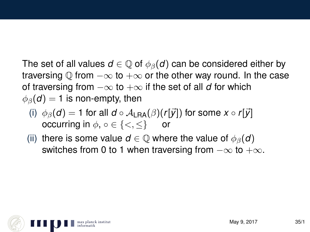The set of all values  $d \in \mathbb{Q}$  of  $\phi_{\beta}(d)$  can be considered either by traversing  $\mathbb Q$  from  $-\infty$  to  $+\infty$  or the other way round. In the case of traversing from  $-\infty$  to  $+\infty$  if the set of all *d* for which  $\phi_{\beta}(\boldsymbol{d}) = 1$  is non-empty, then

- (i)  $\phi_{\beta}(d) = 1$  for all  $d \circ A_{\text{LRA}}(\beta)(r[\vec{y}])$  for some  $x \circ r[\vec{y}]$ occurring in  $\phi$ ,  $\circ \in \{ \lt, \lt \}$  or
- (ii) there is some value  $d \in \mathbb{Q}$  where the value of  $\phi_{\beta}(d)$ switches from 0 to 1 when traversing from  $-\infty$  to  $+\infty$ .

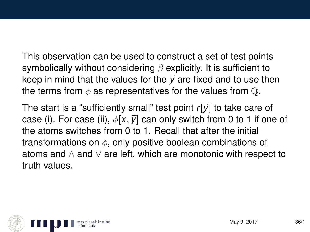This observation can be used to construct a set of test points symbolically without considering  $\beta$  explicitly. It is sufficient to keep in mind that the values for the  $\vec{v}$  are fixed and to use then the terms from  $\phi$  as representatives for the values from  $\mathbb{O}$ .

The start is a "sufficiently small" test point *r*[~*y*] to take care of case (i). For case (ii),  $\phi$ [x,  $\vec{y}$ ] can only switch from 0 to 1 if one of the atoms switches from 0 to 1. Recall that after the initial transformations on  $\phi$ , only positive boolean combinations of atoms and ∧ and ∨ are left, which are monotonic with respect to truth values.

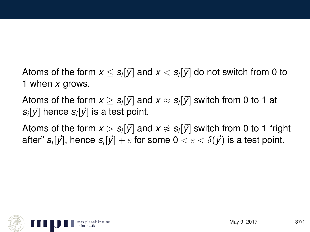Atoms of the form  $x \leq s_i[\vec{y}]$  and  $x < s_i[\vec{y}]$  do not switch from 0 to 1 when *x* grows.

Atoms of the form  $x\geq s_i[\vec{y}]$  and  $x\approx s_i[\vec{y}]$  switch from 0 to 1 at  $s_i[\vec{y}]$  hence  $s_i[\vec{y}]$  is a test point.

Atoms of the form  $x > s_i[\vec{y}]$  and  $x \not\approx s_i[\vec{y}]$  switch from 0 to 1 "right after"  $s_i[\vec{y}],$  hence  $s_i[\vec{y}] + \varepsilon$  for some  $0 < \varepsilon < \delta(\vec{y})$  is a test point.

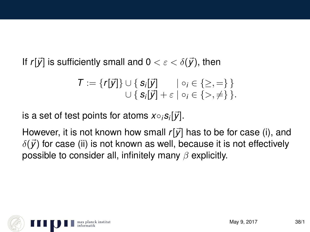If  $r[\vec{y}]$  is sufficiently small and  $0 < \varepsilon < \delta(\vec{y})$ , then

$$
\mathcal{T} := \{r[\vec{y}]\} \cup \{s_i[\vec{y}] \qquad | \circ_i \in \{\geq,=\}\}
$$
  

$$
\cup \{s_i[\vec{y}] + \varepsilon | \circ_i \in \{\gt,\neq\}\}.
$$

 $i$ s a set of test points for atoms  $x \circ_i s_i[ \vec{\mathcal{y}}].$ 

However, it is not known how small  $r[\vec{y}]$  has to be for case (i), and  $\delta(\vec{y})$  for case (ii) is not known as well, because it is not effectively possible to consider all, infinitely many  $\beta$  explicitly.

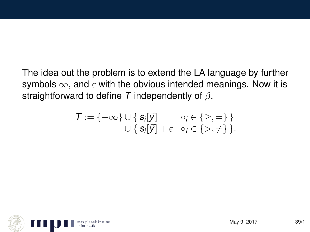The idea out the problem is to extend the LA language by further symbols  $\infty$ , and  $\varepsilon$  with the obvious intended meanings. Now it is straightforward to define *T* independently of β.

$$
T := \{-\infty\} \cup \{ \mathbf{S}_i[\vec{y}] \quad | \circ_i \in \{\geq,=\} \}
$$
  

$$
\cup \{ \mathbf{S}_i[\vec{y}] + \varepsilon | \circ_i \in \{\gt,\neq\} \}.
$$

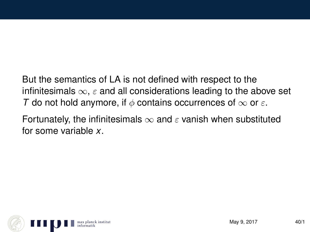But the semantics of LA is not defined with respect to the infinitesimals  $\infty$ ,  $\varepsilon$  and all considerations leading to the above set *T* do not hold anymore, if  $\phi$  contains occurrences of  $\infty$  or  $\varepsilon$ .

Fortunately, the infinitesimals  $\infty$  and  $\varepsilon$  vanish when substituted for some variable *x*.

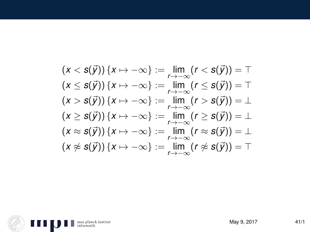$$
(x < s(\vec{y})) \{x \mapsto -\infty\} := \lim_{r \to -\infty} (r < s(\vec{y})) = T
$$
  
\n
$$
(x \le s(\vec{y})) \{x \mapsto -\infty\} := \lim_{r \to -\infty} (r \le s(\vec{y})) = T
$$
  
\n
$$
(x > s(\vec{y})) \{x \mapsto -\infty\} := \lim_{r \to -\infty} (r > s(\vec{y})) = \bot
$$
  
\n
$$
(x \ge s(\vec{y})) \{x \mapsto -\infty\} := \lim_{r \to -\infty} (r \ge s(\vec{y})) = \bot
$$
  
\n
$$
(x \approx s(\vec{y})) \{x \mapsto -\infty\} := \lim_{r \to -\infty} (r \approx s(\vec{y})) = \bot
$$
  
\n
$$
(x \not\approx s(\vec{y})) \{x \mapsto -\infty\} := \lim_{r \to -\infty} (r \not\approx s(\vec{y})) = T
$$

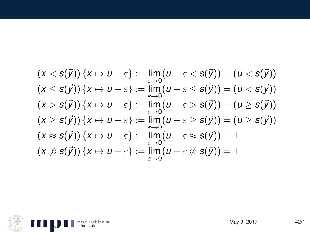$$
(x < s(\vec{y})) \{x \mapsto u + \varepsilon\} := \lim_{\varepsilon \to 0} (u + \varepsilon < s(\vec{y})) = (u < s(\vec{y}))
$$
  
\n
$$
(x \le s(\vec{y})) \{x \mapsto u + \varepsilon\} := \lim_{\varepsilon \to 0} (u + \varepsilon \le s(\vec{y})) = (u < s(\vec{y}))
$$
  
\n
$$
(x > s(\vec{y})) \{x \mapsto u + \varepsilon\} := \lim_{\varepsilon \to 0} (u + \varepsilon > s(\vec{y})) = (u \ge s(\vec{y}))
$$
  
\n
$$
(x \ge s(\vec{y})) \{x \mapsto u + \varepsilon\} := \lim_{\varepsilon \to 0} (u + \varepsilon \ge s(\vec{y})) = (u \ge s(\vec{y}))
$$
  
\n
$$
(x \approx s(\vec{y})) \{x \mapsto u + \varepsilon\} := \lim_{\varepsilon \to 0} (u + \varepsilon \approx s(\vec{y})) = \bot
$$
  
\n
$$
(x \not\approx s(\vec{y})) \{x \mapsto u + \varepsilon\} := \lim_{\varepsilon \to 0} (u + \varepsilon \not\approx s(\vec{y})) = \top
$$

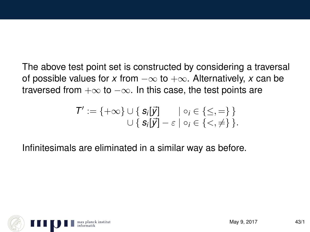The above test point set is constructed by considering a traversal of possible values for *x* from  $-\infty$  to  $+\infty$ . Alternatively, *x* can be traversed from  $+\infty$  to  $-\infty$ . In this case, the test points are

$$
T':=\{+\infty\}\cup\{\text{ }s_i[\vec{y}]\quad\mid\circ_i\in\{\leq,=\}\ \}\newline\cup\{\text{ }s_i[\vec{y}]-\varepsilon\mid\circ_i\in\{<,\neq\}\ \}.
$$

Infinitesimals are eliminated in a similar way as before.

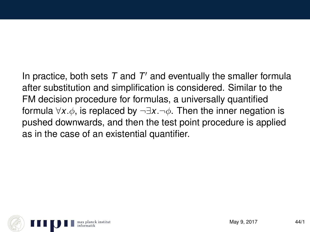In practice, both sets  $T$  and  $T'$  and eventually the smaller formula after substitution and simplification is considered. Similar to the FM decision procedure for formulas, a universally quantified formula ∀*x*.φ, is replaced by ¬∃*x*.¬φ. Then the inner negation is pushed downwards, and then the test point procedure is applied as in the case of an existential quantifier.

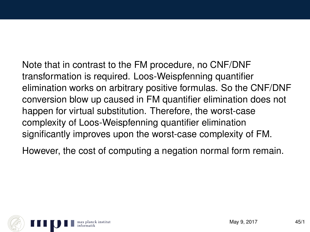Note that in contrast to the FM procedure, no CNF/DNF transformation is required. Loos-Weispfenning quantifier elimination works on arbitrary positive formulas. So the CNF/DNF conversion blow up caused in FM quantifier elimination does not happen for virtual substitution. Therefore, the worst-case complexity of Loos-Weispfenning quantifier elimination significantly improves upon the worst-case complexity of FM.

However, the cost of computing a negation normal form remain.

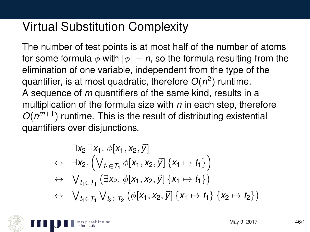## Virtual Substitution Complexity

The number of test points is at most half of the number of atoms for some formula  $\phi$  with  $|\phi| = n$ , so the formula resulting from the elimination of one variable, independent from the type of the quantifier, is at most quadratic, therefore *O*(*n* 2 ) runtime. A sequence of *m* quantifiers of the same kind, results in a multiplication of the formula size with *n* in each step, therefore  $O(n^{m+1})$  runtime. This is the result of distributing existential quantifiers over disjunctions.

$$
\exists x_2 \exists x_1. \ \phi[x_1, x_2, \vec{y}] \n\leftrightarrow \exists x_2. \left( \bigvee_{t_1 \in T_1} \phi[x_1, x_2, \vec{y}] \{x_1 \mapsto t_1\} \right) \n\leftrightarrow \bigvee_{t_1 \in T_1} (\exists x_2. \ \phi[x_1, x_2, \vec{y}] \{x_1 \mapsto t_1\}) \n\leftrightarrow \bigvee_{t_1 \in T_1} \bigvee_{t_2 \in T_2} (\phi[x_1, x_2, \vec{y}] \{x_1 \mapsto t_1\} \{x_2 \mapsto t_2\})
$$